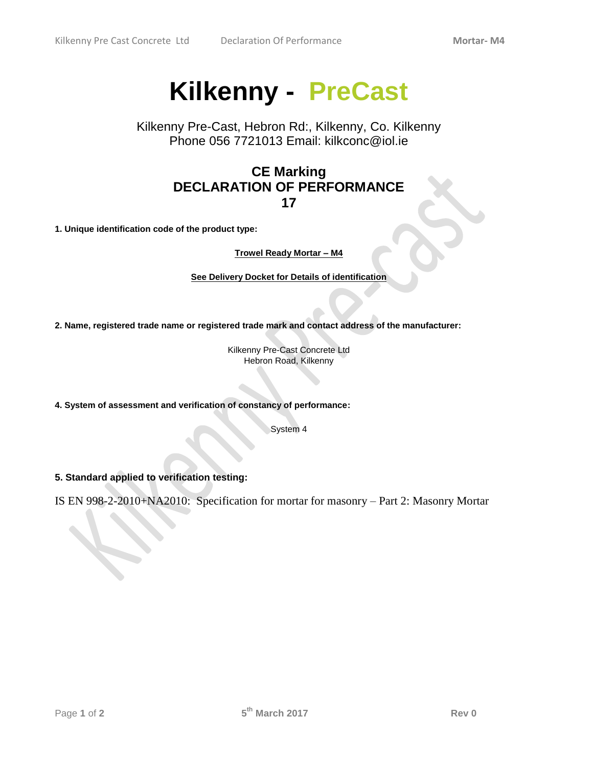## **Kilkenny - PreCast**

Kilkenny Pre-Cast, Hebron Rd:, Kilkenny, Co. Kilkenny Phone 056 7721013 Email: [kilkconc@iol.ie](mailto:kilkconc@iol.ie?subject=Website%20Enquiry)

## **CE Marking DECLARATION OF PERFORMANCE 17**

**1. Unique identification code of the product type:**

**Trowel Ready Mortar – M4**

**See Delivery Docket for Details of identification**

**2. Name, registered trade name or registered trade mark and contact address of the manufacturer:**

Kilkenny Pre-Cast Concrete Ltd Hebron Road, Kilkenny

**4. System of assessment and verification of constancy of performance:**

System 4

**5. Standard applied to verification testing:**

IS EN 998-2-2010+NA2010: Specification for mortar for masonry – Part 2: Masonry Mortar